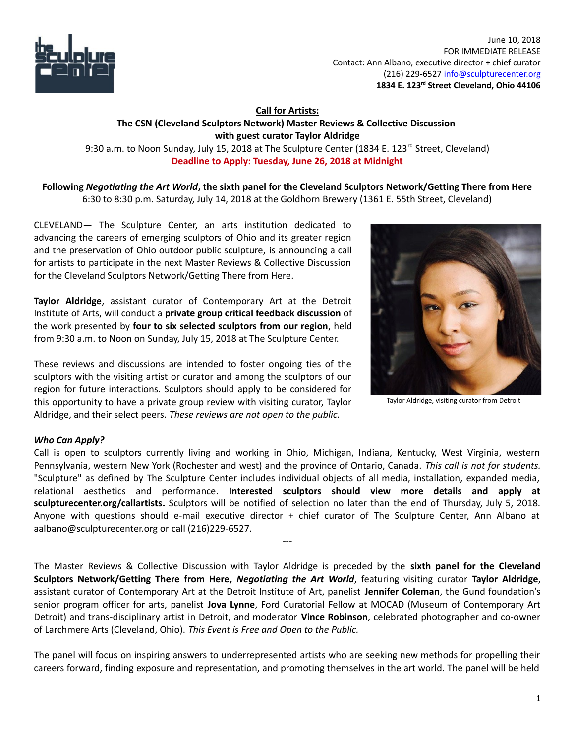

 June 10, 2018 FOR IMMEDIATE RELEASE Contact: Ann Albano, executive director + chief curator (216) 229-6527 [info@sculpturecenter.org](mailto:info@sculpturecenter.org) **1834 E. 123rd Street Cleveland, Ohio 44106**

## **Call for Artists: The CSN (Cleveland Sculptors Network) Master Reviews & Collective Discussion with guest curator Taylor Aldridge** 9:30 a.m. to Noon Sunday, July 15, 2018 at The Sculpture Center (1834 E. 123<sup>rd</sup> Street, Cleveland) **Deadline to Apply: Tuesday, June 26, 2018 at Midnight**

**Following** *Negotiating the Art World***, the sixth panel for the Cleveland Sculptors Network/Getting There from Here** 6:30 to 8:30 p.m. Saturday, July 14, 2018 at the Goldhorn Brewery (1361 E. 55th Street, Cleveland)

CLEVELAND— The Sculpture Center, an arts institution dedicated to advancing the careers of emerging sculptors of Ohio and its greater region and the preservation of Ohio outdoor public sculpture, is announcing a call for artists to participate in the next Master Reviews & Collective Discussion for the Cleveland Sculptors Network/Getting There from Here.

**Taylor Aldridge**, assistant curator of Contemporary Art at the Detroit Institute of Arts, will conduct a **private group critical feedback discussion** of the work presented by **four to six selected sculptors from our region**, held from 9:30 a.m. to Noon on Sunday, July 15, 2018 at The Sculpture Center.

These reviews and discussions are intended to foster ongoing ties of the sculptors with the visiting artist or curator and among the sculptors of our region for future interactions. Sculptors should apply to be considered for this opportunity to have a private group review with visiting curator, Taylor Aldridge, and their select peers. *These reviews are not open to the public.* 



Taylor Aldridge, visiting curator from Detroit

## *Who Can Apply?*

Call is open to sculptors currently living and working in Ohio, Michigan, Indiana, Kentucky, West Virginia, western Pennsylvania, western New York (Rochester and west) and the province of Ontario, Canada. *This call is not for students.* "Sculpture" as defined by The Sculpture Center includes individual objects of all media, installation, expanded media, relational aesthetics and performance. **Interested sculptors should view more details and apply at [sculpturecenter.org/callartists.](http://sculpturecenter.org/callartists/)** Sculptors will be notified of selection no later than the end of Thursday, July 5, 2018. Anyone with questions should e-mail executive director + chief curator of The Sculpture Center, Ann Albano at aalbano@sculpturecenter.org or call (216)229-6527.

---

The Master Reviews & Collective Discussion with Taylor Aldridge is preceded by the **sixth panel for the Cleveland Sculptors Network/Getting There from Here,** *Negotiating the Art World*, featuring visiting curator **Taylor Aldridge**, assistant curator of Contemporary Art at the Detroit Institute of Art, panelist **Jennifer Coleman**, the Gund foundation's senior program officer for arts, panelist **Jova Lynne**, Ford Curatorial Fellow at MOCAD (Museum of Contemporary Art Detroit) and trans-disciplinary artist in Detroit, and moderator **Vince Robinson**, celebrated photographer and co-owner of Larchmere Arts (Cleveland, Ohio). *This Event is Free and Open to the Public.*

The panel will focus on inspiring answers to underrepresented artists who are seeking new methods for propelling their careers forward, finding exposure and representation, and promoting themselves in the art world. The panel will be held